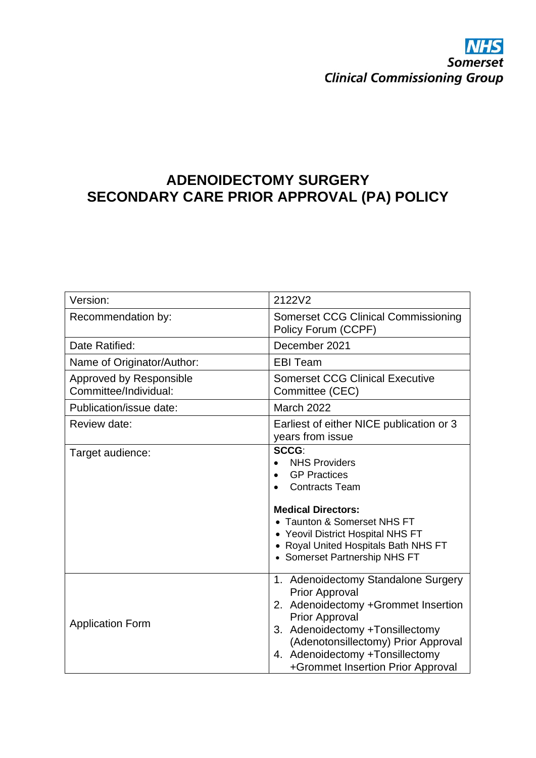# **ADENOIDECTOMY SURGERY SECONDARY CARE PRIOR APPROVAL (PA) POLICY**

| Version:                                         | 2122V2                                                                                                                                                                                                                                                                         |
|--------------------------------------------------|--------------------------------------------------------------------------------------------------------------------------------------------------------------------------------------------------------------------------------------------------------------------------------|
| Recommendation by:                               | <b>Somerset CCG Clinical Commissioning</b><br>Policy Forum (CCPF)                                                                                                                                                                                                              |
| Date Ratified:                                   | December 2021                                                                                                                                                                                                                                                                  |
| Name of Originator/Author:                       | <b>EBI Team</b>                                                                                                                                                                                                                                                                |
| Approved by Responsible<br>Committee/Individual: | <b>Somerset CCG Clinical Executive</b><br>Committee (CEC)                                                                                                                                                                                                                      |
| Publication/issue date:                          | <b>March 2022</b>                                                                                                                                                                                                                                                              |
| Review date:                                     | Earliest of either NICE publication or 3<br>years from issue                                                                                                                                                                                                                   |
| Target audience:                                 | SCCG:<br><b>NHS Providers</b><br><b>GP Practices</b><br><b>Contracts Team</b><br><b>Medical Directors:</b><br>• Taunton & Somerset NHS FT<br>• Yeovil District Hospital NHS FT<br>• Royal United Hospitals Bath NHS FT<br>• Somerset Partnership NHS FT                        |
| <b>Application Form</b>                          | 1. Adenoidectomy Standalone Surgery<br><b>Prior Approval</b><br>2. Adenoidectomy +Grommet Insertion<br><b>Prior Approval</b><br>3. Adenoidectomy +Tonsillectomy<br>(Adenotonsillectomy) Prior Approval<br>4. Adenoidectomy +Tonsillectomy<br>+Grommet Insertion Prior Approval |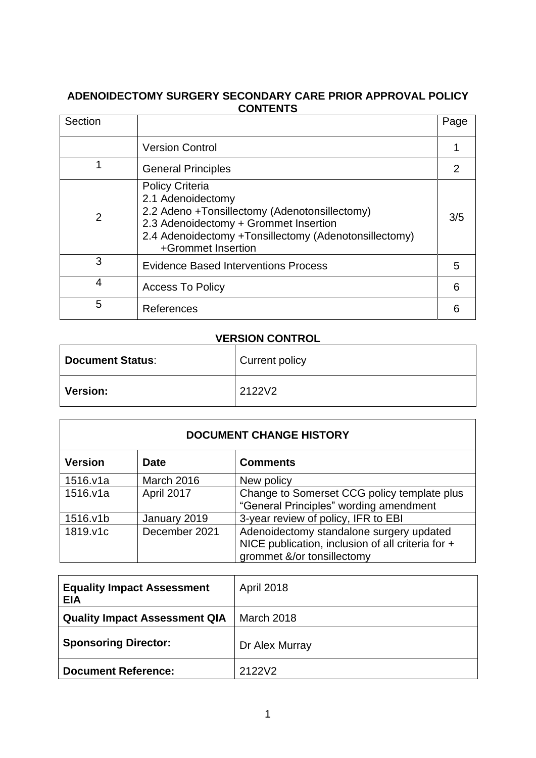## **ADENOIDECTOMY SURGERY SECONDARY CARE PRIOR APPROVAL POLICY CONTENTS**

| Section        |                                                                                                                                                                                                                      | Page |
|----------------|----------------------------------------------------------------------------------------------------------------------------------------------------------------------------------------------------------------------|------|
|                | <b>Version Control</b>                                                                                                                                                                                               |      |
| 1              | <b>General Principles</b>                                                                                                                                                                                            |      |
| $\overline{2}$ | <b>Policy Criteria</b><br>2.1 Adenoidectomy<br>2.2 Adeno +Tonsillectomy (Adenotonsillectomy)<br>2.3 Adenoidectomy + Grommet Insertion<br>2.4 Adenoidectomy +Tonsillectomy (Adenotonsillectomy)<br>+Grommet Insertion | 3/5  |
| 3              | <b>Evidence Based Interventions Process</b>                                                                                                                                                                          | 5    |
| 4              | <b>Access To Policy</b>                                                                                                                                                                                              | 6    |
| 5              | References                                                                                                                                                                                                           |      |

## **VERSION CONTROL**

| <b>Document Status:</b> | Current policy |
|-------------------------|----------------|
| Version:                | 2122V2         |

| <b>DOCUMENT CHANGE HISTORY</b> |               |                                                                                                                             |
|--------------------------------|---------------|-----------------------------------------------------------------------------------------------------------------------------|
| <b>Version</b>                 | <b>Date</b>   | <b>Comments</b>                                                                                                             |
| 1516.v1a                       | March 2016    | New policy                                                                                                                  |
| 1516.v1a                       | April 2017    | Change to Somerset CCG policy template plus<br>"General Principles" wording amendment                                       |
| 1516.v1b                       | January 2019  | 3-year review of policy, IFR to EBI                                                                                         |
| 1819.v1c                       | December 2021 | Adenoidectomy standalone surgery updated<br>NICE publication, inclusion of all criteria for +<br>grommet &/or tonsillectomy |

| <b>Equality Impact Assessment</b><br><b>EIA</b> | <b>April 2018</b> |
|-------------------------------------------------|-------------------|
| <b>Quality Impact Assessment QIA</b>            | March 2018        |
| <b>Sponsoring Director:</b>                     | Dr Alex Murray    |
| <b>Document Reference:</b>                      | 2122V2            |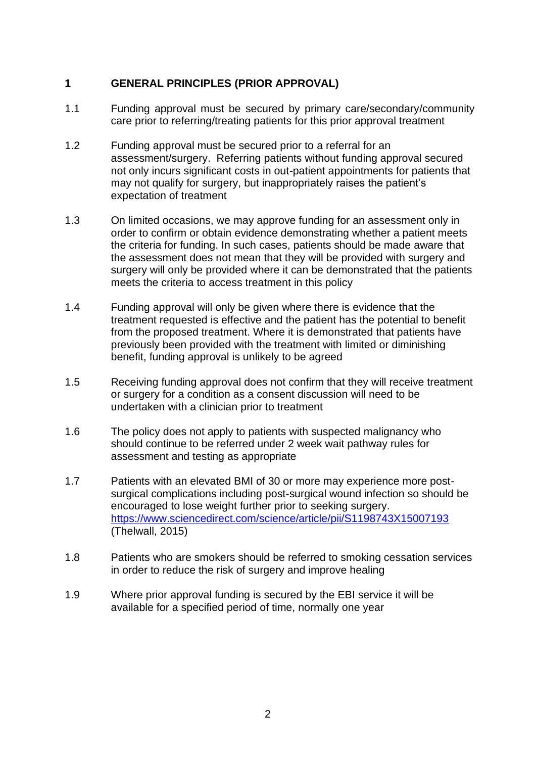## **1 GENERAL PRINCIPLES (PRIOR APPROVAL)**

- 1.1 Funding approval must be secured by primary care/secondary/community care prior to referring/treating patients for this prior approval treatment
- 1.2 Funding approval must be secured prior to a referral for an assessment/surgery. Referring patients without funding approval secured not only incurs significant costs in out-patient appointments for patients that may not qualify for surgery, but inappropriately raises the patient's expectation of treatment
- 1.3 On limited occasions, we may approve funding for an assessment only in order to confirm or obtain evidence demonstrating whether a patient meets the criteria for funding. In such cases, patients should be made aware that the assessment does not mean that they will be provided with surgery and surgery will only be provided where it can be demonstrated that the patients meets the criteria to access treatment in this policy
- 1.4 Funding approval will only be given where there is evidence that the treatment requested is effective and the patient has the potential to benefit from the proposed treatment. Where it is demonstrated that patients have previously been provided with the treatment with limited or diminishing benefit, funding approval is unlikely to be agreed
- 1.5 Receiving funding approval does not confirm that they will receive treatment or surgery for a condition as a consent discussion will need to be undertaken with a clinician prior to treatment
- 1.6 The policy does not apply to patients with suspected malignancy who should continue to be referred under 2 week wait pathway rules for assessment and testing as appropriate
- 1.7 Patients with an elevated BMI of 30 or more may experience more postsurgical complications including post-surgical wound infection so should be encouraged to lose weight further prior to seeking surgery. <https://www.sciencedirect.com/science/article/pii/S1198743X15007193> (Thelwall, 2015)
- 1.8 Patients who are smokers should be referred to smoking cessation services in order to reduce the risk of surgery and improve healing
- 1.9 Where prior approval funding is secured by the EBI service it will be available for a specified period of time, normally one year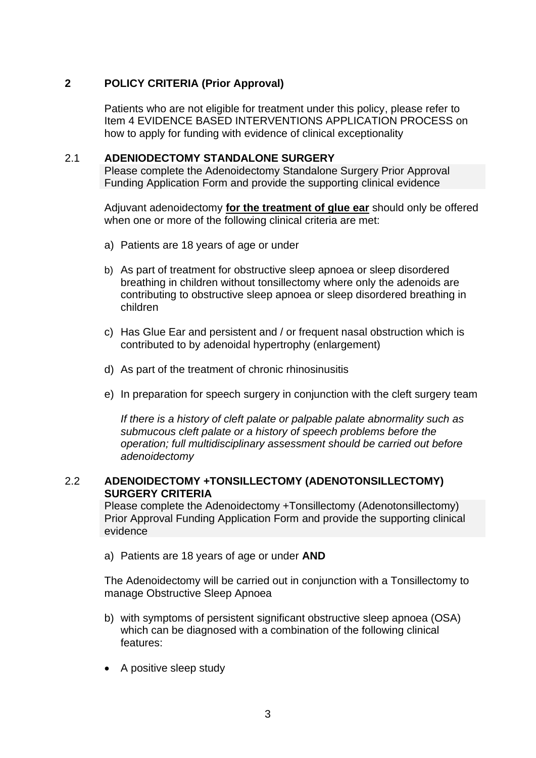## **2 POLICY CRITERIA (Prior Approval)**

Patients who are not eligible for treatment under this policy, please refer to Item 4 EVIDENCE BASED INTERVENTIONS APPLICATION PROCESS on how to apply for funding with evidence of clinical exceptionality

#### 2.1 **ADENIODECTOMY STANDALONE SURGERY**

Please complete the Adenoidectomy Standalone Surgery Prior Approval Funding Application Form and provide the supporting clinical evidence

Adjuvant adenoidectomy **for the treatment of glue ear** should only be offered when one or more of the following clinical criteria are met:

- a) Patients are 18 years of age or under
- b) As part of treatment for obstructive sleep apnoea or sleep disordered breathing in children without tonsillectomy where only the adenoids are contributing to obstructive sleep apnoea or sleep disordered breathing in children
- c) Has Glue Ear and persistent and / or frequent nasal obstruction which is contributed to by adenoidal hypertrophy (enlargement)
- d) As part of the treatment of chronic rhinosinusitis
- e) In preparation for speech surgery in conjunction with the cleft surgery team

*If there is a history of cleft palate or palpable palate abnormality such as submucous cleft palate or a history of speech problems before the operation; full multidisciplinary assessment should be carried out before adenoidectomy*

### 2.2 **ADENOIDECTOMY +TONSILLECTOMY (ADENOTONSILLECTOMY) SURGERY CRITERIA**

Please complete the Adenoidectomy +Tonsillectomy (Adenotonsillectomy) Prior Approval Funding Application Form and provide the supporting clinical evidence

a) Patients are 18 years of age or under **AND**

The Adenoidectomy will be carried out in conjunction with a Tonsillectomy to manage Obstructive Sleep Apnoea

- b) with symptoms of persistent significant obstructive sleep apnoea (OSA) which can be diagnosed with a combination of the following clinical features:
- A positive sleep study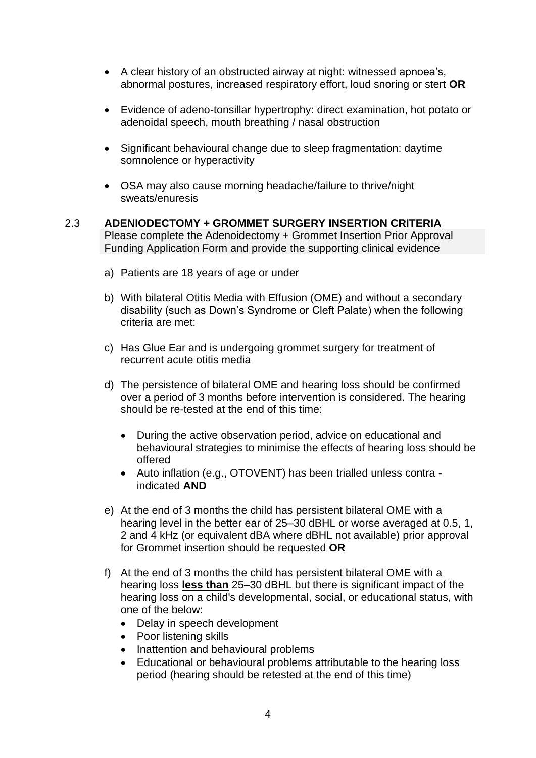- A clear history of an obstructed airway at night: witnessed apnoea's, abnormal postures, increased respiratory effort, loud snoring or stert **OR**
- Evidence of adeno-tonsillar hypertrophy: direct examination, hot potato or adenoidal speech, mouth breathing / nasal obstruction
- Significant behavioural change due to sleep fragmentation: daytime somnolence or hyperactivity
- OSA may also cause morning headache/failure to thrive/night sweats/enuresis
- 2.3 **ADENIODECTOMY + GROMMET SURGERY INSERTION CRITERIA** Please complete the Adenoidectomy + Grommet Insertion Prior Approval Funding Application Form and provide the supporting clinical evidence
	- a) Patients are 18 years of age or under
	- b) With bilateral Otitis Media with Effusion (OME) and without a secondary disability (such as Down's Syndrome or Cleft Palate) when the following criteria are met:
	- c) Has Glue Ear and is undergoing grommet surgery for treatment of recurrent acute otitis media
	- d) The persistence of bilateral OME and hearing loss should be confirmed over a period of 3 months before intervention is considered. The hearing should be re-tested at the end of this time:
		- During the active observation period, advice on educational and behavioural strategies to minimise the effects of hearing loss should be offered
		- Auto inflation (e.g., OTOVENT) has been trialled unless contra indicated **AND**
	- e) At the end of 3 months the child has persistent bilateral OME with a hearing level in the better ear of 25–30 dBHL or worse averaged at 0.5, 1, 2 and 4 kHz (or equivalent dBA where dBHL not available) prior approval for Grommet insertion should be requested **OR**
	- f) At the end of 3 months the child has persistent bilateral OME with a hearing loss **less than** 25–30 dBHL but there is significant impact of the hearing loss on a child's developmental, social, or educational status, with one of the below:
		- Delay in speech development
		- Poor listening skills
		- Inattention and behavioural problems
		- Educational or behavioural problems attributable to the hearing loss period (hearing should be retested at the end of this time)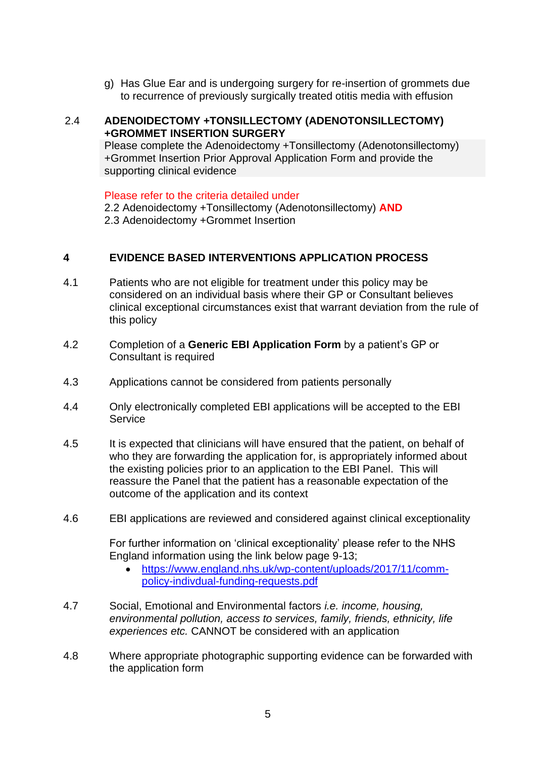g) Has Glue Ear and is undergoing surgery for re-insertion of grommets due to recurrence of previously surgically treated otitis media with effusion

### 2.4 **ADENOIDECTOMY +TONSILLECTOMY (ADENOTONSILLECTOMY) +GROMMET INSERTION SURGERY**

Please complete the Adenoidectomy +Tonsillectomy (Adenotonsillectomy) +Grommet Insertion Prior Approval Application Form and provide the supporting clinical evidence

Please refer to the criteria detailed under

2.2 Adenoidectomy +Tonsillectomy (Adenotonsillectomy) **AND**

2.3 Adenoidectomy +Grommet Insertion

## **4 EVIDENCE BASED INTERVENTIONS APPLICATION PROCESS**

- 4.1 Patients who are not eligible for treatment under this policy may be considered on an individual basis where their GP or Consultant believes clinical exceptional circumstances exist that warrant deviation from the rule of this policy
- 4.2 Completion of a **Generic EBI Application Form** by a patient's GP or Consultant is required
- 4.3 Applications cannot be considered from patients personally
- 4.4 Only electronically completed EBI applications will be accepted to the EBI **Service**
- 4.5 It is expected that clinicians will have ensured that the patient, on behalf of who they are forwarding the application for, is appropriately informed about the existing policies prior to an application to the EBI Panel. This will reassure the Panel that the patient has a reasonable expectation of the outcome of the application and its context
- 4.6 EBI applications are reviewed and considered against clinical exceptionality

For further information on 'clinical exceptionality' please refer to the NHS England information using the link below page 9-13;

- [https://www.england.nhs.uk/wp-content/uploads/2017/11/comm](https://www.england.nhs.uk/wp-content/uploads/2017/11/comm-policy-indivdual-funding-requests.pdf)[policy-indivdual-funding-requests.pdf](https://www.england.nhs.uk/wp-content/uploads/2017/11/comm-policy-indivdual-funding-requests.pdf)
- 4.7 Social, Emotional and Environmental factors *i.e. income, housing, environmental pollution, access to services, family, friends, ethnicity, life experiences etc.* CANNOT be considered with an application
- 4.8 Where appropriate photographic supporting evidence can be forwarded with the application form